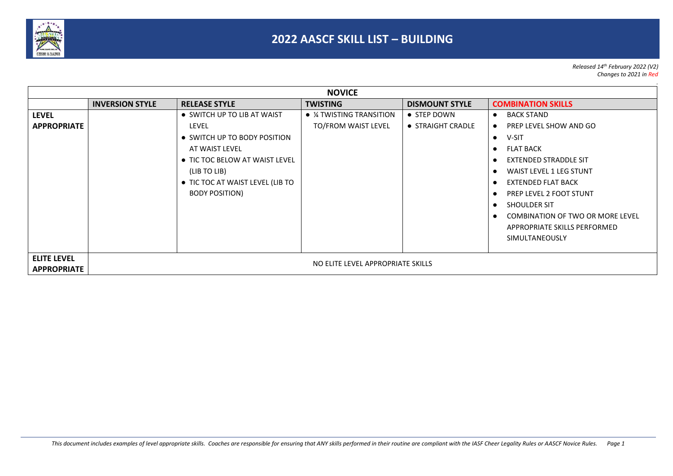

*Released 14th February 2022 (V2) Changes to 2021 in Red*

|                                          |                                   |                                                                                                                                                                                                       | <b>NOVICE</b>                                          |                                  |                                                                                                                                                                                                                                                                                                                                                                                                                                                          |
|------------------------------------------|-----------------------------------|-------------------------------------------------------------------------------------------------------------------------------------------------------------------------------------------------------|--------------------------------------------------------|----------------------------------|----------------------------------------------------------------------------------------------------------------------------------------------------------------------------------------------------------------------------------------------------------------------------------------------------------------------------------------------------------------------------------------------------------------------------------------------------------|
|                                          | <b>INVERSION STYLE</b>            | <b>RELEASE STYLE</b>                                                                                                                                                                                  | <b>TWISTING</b>                                        | <b>DISMOUNT STYLE</b>            | <b>COMBINATION SKILLS</b>                                                                                                                                                                                                                                                                                                                                                                                                                                |
| LEVEL<br><b>APPROPRIATE</b>              |                                   | • SWITCH UP TO LIB AT WAIST<br>LEVEL<br>• SWITCH UP TO BODY POSITION<br>AT WAIST LEVEL<br>• TIC TOC BELOW AT WAIST LEVEL<br>(LIB TO LIB)<br>• TIC TOC AT WAIST LEVEL (LIB TO<br><b>BODY POSITION)</b> | $\bullet$ % TWISTING TRANSITION<br>TO/FROM WAIST LEVEL | • STEP DOWN<br>• STRAIGHT CRADLE | <b>BACK STAND</b><br>$\bullet$<br>PREP LEVEL SHOW AND GO<br>$\bullet$<br>V-SIT<br>$\bullet$<br><b>FLAT BACK</b><br>$\bullet$<br><b>EXTENDED STRADDLE SIT</b><br>$\bullet$<br><b>WAIST LEVEL 1 LEG STUNT</b><br>$\bullet$<br><b>EXTENDED FLAT BACK</b><br>$\bullet$<br><b>PREP LEVEL 2 FOOT STUNT</b><br>$\bullet$<br>SHOULDER SIT<br>$\bullet$<br><b>COMBINATION OF TWO OR MORE LEVEL</b><br>$\bullet$<br>APPROPRIATE SKILLS PERFORMED<br>SIMULTANEOUSLY |
| <b>ELITE LEVEL</b><br><b>APPROPRIATE</b> | NO ELITE LEVEL APPROPRIATE SKILLS |                                                                                                                                                                                                       |                                                        |                                  |                                                                                                                                                                                                                                                                                                                                                                                                                                                          |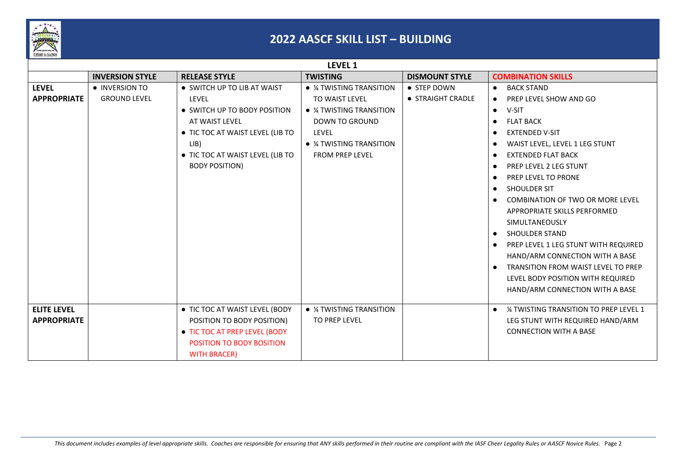

|                    |                        |                                  | LEVEL 1                           |                       |                                                         |
|--------------------|------------------------|----------------------------------|-----------------------------------|-----------------------|---------------------------------------------------------|
|                    | <b>INVERSION STYLE</b> | <b>RELEASE STYLE</b>             | <b>TWISTING</b>                   | <b>DISMOUNT STYLE</b> | <b>COMBINATION SKILLS</b>                               |
| <b>LEVEL</b>       | • INVERSION TO         | • SWITCH UP TO LIB AT WAIST      | • <i>1</i> ⁄4 TWISTING TRANSITION | • STEP DOWN           | <b>BACK STAND</b><br>$\bullet$                          |
| <b>APPROPRIATE</b> | <b>GROUND LEVEL</b>    | <b>LEVEL</b>                     | TO WAIST LEVEL                    | • STRAIGHT CRADLE     | PREP LEVEL SHOW AND GO<br>$\bullet$                     |
|                    |                        | • SWITCH UP TO BODY POSITION     | • <i>1</i> 4 TWISTING TRANSITION  |                       | V-SIT<br>$\bullet$                                      |
|                    |                        | AT WAIST LEVEL                   | <b>DOWN TO GROUND</b>             |                       | <b>FLAT BACK</b><br>$\bullet$                           |
|                    |                        | • TIC TOC AT WAIST LEVEL (LIB TO | LEVEL                             |                       | <b>EXTENDED V-SIT</b><br>$\bullet$                      |
|                    |                        | LIB)                             | $\bullet$ % TWISTING TRANSITION   |                       | WAIST LEVEL, LEVEL 1 LEG STUNT<br>$\bullet$             |
|                    |                        | • TIC TOC AT WAIST LEVEL (LIB TO | FROM PREP LEVEL                   |                       | <b>EXTENDED FLAT BACK</b><br>$\bullet$                  |
|                    |                        | <b>BODY POSITION)</b>            |                                   |                       | PREP LEVEL 2 LEG STUNT<br>$\bullet$                     |
|                    |                        |                                  |                                   |                       | <b>PREP LEVEL TO PRONE</b><br>$\bullet$                 |
|                    |                        |                                  |                                   |                       | SHOULDER SIT<br>$\bullet$                               |
|                    |                        |                                  |                                   |                       | COMBINATION OF TWO OR MORE LEVEL<br>$\bullet$           |
|                    |                        |                                  |                                   |                       | APPROPRIATE SKILLS PERFORMED                            |
|                    |                        |                                  |                                   |                       | SIMULTANEOUSLY                                          |
|                    |                        |                                  |                                   |                       | SHOULDER STAND<br>$\bullet$                             |
|                    |                        |                                  |                                   |                       | PREP LEVEL 1 LEG STUNT WITH REQUIRED<br>$\bullet$       |
|                    |                        |                                  |                                   |                       | HAND/ARM CONNECTION WITH A BASE                         |
|                    |                        |                                  |                                   |                       | <b>TRANSITION FROM WAIST LEVEL TO PREP</b><br>$\bullet$ |
|                    |                        |                                  |                                   |                       | LEVEL BODY POSITION WITH REQUIRED                       |
|                    |                        |                                  |                                   |                       | HAND/ARM CONNECTION WITH A BASE                         |
|                    |                        |                                  |                                   |                       |                                                         |
| <b>ELITE LEVEL</b> |                        | • TIC TOC AT WAIST LEVEL (BODY   | • <i>1</i> ⁄4 TWISTING TRANSITION |                       | 1/4 TWISTING TRANSITION TO PREP LEVEL 1<br>$\bullet$    |
| <b>APPROPRIATE</b> |                        | POSITION TO BODY POSITION)       | TO PREP LEVEL                     |                       | LEG STUNT WITH REQUIRED HAND/ARM                        |
|                    |                        | • TIC TOC AT PREP LEVEL (BODY    |                                   |                       | <b>CONNECTION WITH A BASE</b>                           |
|                    |                        | <b>POSITION TO BODY BOSITION</b> |                                   |                       |                                                         |
|                    |                        | <b>WITH BRACER)</b>              |                                   |                       |                                                         |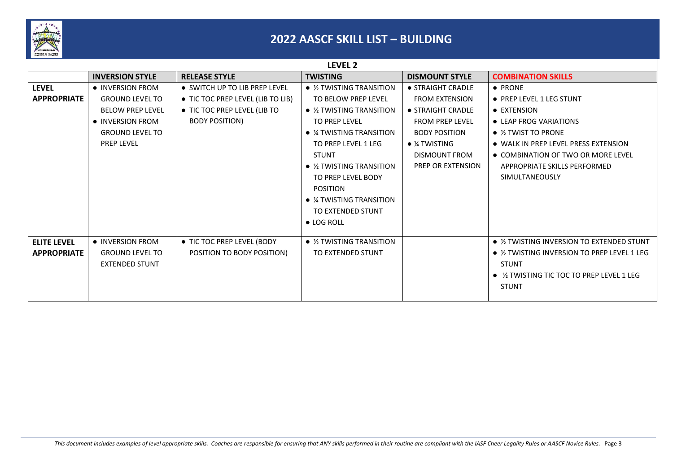

|                    |                         |                                   | LEVEL 2                         |                          |                                              |
|--------------------|-------------------------|-----------------------------------|---------------------------------|--------------------------|----------------------------------------------|
|                    | <b>INVERSION STYLE</b>  | <b>RELEASE STYLE</b>              | <b>TWISTING</b>                 | <b>DISMOUNT STYLE</b>    | <b>COMBINATION SKILLS</b>                    |
| <b>LEVEL</b>       | • INVERSION FROM        | • SWITCH UP TO LIB PREP LEVEL     | • 1/2 TWISTING TRANSITION       | • STRAIGHT CRADLE        | • PRONE                                      |
| <b>APPROPRIATE</b> | <b>GROUND LEVEL TO</b>  | • TIC TOC PREP LEVEL (LIB TO LIB) | TO BELOW PREP LEVEL             | <b>FROM EXTENSION</b>    | • PREP LEVEL 1 LEG STUNT                     |
|                    | <b>BELOW PREP LEVEL</b> | • TIC TOC PREP LEVEL (LIB TO      | $\bullet$ % TWISTING TRANSITION | • STRAIGHT CRADLE        | • EXTENSION                                  |
|                    | • INVERSION FROM        | <b>BODY POSITION)</b>             | TO PREP LEVEL                   | <b>FROM PREP LEVEL</b>   | • LEAP FROG VARIATIONS                       |
|                    | <b>GROUND LEVEL TO</b>  |                                   | $\bullet$ % TWISTING TRANSITION | <b>BODY POSITION</b>     | $\bullet$ % TWIST TO PRONE                   |
|                    | <b>PREP LEVEL</b>       |                                   | TO PREP LEVEL 1 LEG             | $\bullet$ % TWISTING     | • WALK IN PREP LEVEL PRESS EXTENSION         |
|                    |                         |                                   | <b>STUNT</b>                    | <b>DISMOUNT FROM</b>     | • COMBINATION OF TWO OR MORE LEVEL           |
|                    |                         |                                   | $\bullet$ % TWISTING TRANSITION | <b>PREP OR EXTENSION</b> | APPROPRIATE SKILLS PERFORMED                 |
|                    |                         |                                   | TO PREP LEVEL BODY              |                          | SIMULTANEOUSLY                               |
|                    |                         |                                   | <b>POSITION</b>                 |                          |                                              |
|                    |                         |                                   | $\bullet$ % TWISTING TRANSITION |                          |                                              |
|                    |                         |                                   | TO EXTENDED STUNT               |                          |                                              |
|                    |                         |                                   | $\bullet$ LOG ROLL              |                          |                                              |
|                    |                         |                                   |                                 |                          |                                              |
| <b>ELITE LEVEL</b> | • INVERSION FROM        | • TIC TOC PREP LEVEL (BODY        | $\bullet$ % TWISTING TRANSITION |                          | • 1/2 TWISTING INVERSION TO EXTENDED STUNT   |
| <b>APPROPRIATE</b> | <b>GROUND LEVEL TO</b>  | POSITION TO BODY POSITION)        | TO EXTENDED STUNT               |                          | • 1/2 TWISTING INVERSION TO PREP LEVEL 1 LEG |
|                    | <b>EXTENDED STUNT</b>   |                                   |                                 |                          | <b>STUNT</b>                                 |
|                    |                         |                                   |                                 |                          | • 1/2 TWISTING TIC TOC TO PREP LEVEL 1 LEG   |
|                    |                         |                                   |                                 |                          | <b>STUNT</b>                                 |
|                    |                         |                                   |                                 |                          |                                              |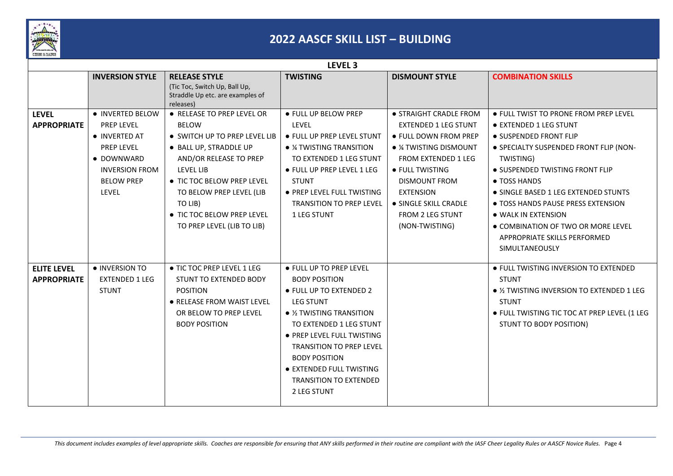

|                                          | LEVEL <sub>3</sub>                                                                                                                        |                                                                                                                                                                                                                                                                               |                                                                                                                                                                                                                                                                                                                                   |                                                                                                                                                                                                                                                                            |                                                                                                                                                                                                                                                                                                                                                                                                  |  |
|------------------------------------------|-------------------------------------------------------------------------------------------------------------------------------------------|-------------------------------------------------------------------------------------------------------------------------------------------------------------------------------------------------------------------------------------------------------------------------------|-----------------------------------------------------------------------------------------------------------------------------------------------------------------------------------------------------------------------------------------------------------------------------------------------------------------------------------|----------------------------------------------------------------------------------------------------------------------------------------------------------------------------------------------------------------------------------------------------------------------------|--------------------------------------------------------------------------------------------------------------------------------------------------------------------------------------------------------------------------------------------------------------------------------------------------------------------------------------------------------------------------------------------------|--|
|                                          | <b>INVERSION STYLE</b>                                                                                                                    | <b>RELEASE STYLE</b><br>(Tic Toc, Switch Up, Ball Up,<br>Straddle Up etc. are examples of<br>releases)                                                                                                                                                                        | <b>TWISTING</b>                                                                                                                                                                                                                                                                                                                   | <b>DISMOUNT STYLE</b>                                                                                                                                                                                                                                                      | <b>COMBINATION SKILLS</b>                                                                                                                                                                                                                                                                                                                                                                        |  |
| <b>LEVEL</b><br><b>APPROPRIATE</b>       | · INVERTED BELOW<br>PREP LEVEL<br>• INVERTED AT<br>PREP LEVEL<br>• DOWNWARD<br><b>INVERSION FROM</b><br><b>BELOW PREP</b><br><b>LEVEL</b> | ● RELEASE TO PREP LEVEL OR<br><b>BELOW</b><br>• SWITCH UP TO PREP LEVEL LIB<br>· BALL UP, STRADDLE UP<br>AND/OR RELEASE TO PREP<br>LEVEL LIB<br>• TIC TOC BELOW PREP LEVEL<br>TO BELOW PREP LEVEL (LIB<br>TO LIB)<br>• TIC TOC BELOW PREP LEVEL<br>TO PREP LEVEL (LIB TO LIB) | ● FULL UP BELOW PREP<br>LEVEL<br>• FULL UP PREP LEVEL STUNT<br>• <i>1</i> ⁄4 TWISTING TRANSITION<br>TO EXTENDED 1 LEG STUNT<br>● FULL UP PREP LEVEL 1 LEG<br><b>STUNT</b><br>• PREP LEVEL FULL TWISTING<br><b>TRANSITION TO PREP LEVEL</b><br>1 LEG STUNT                                                                         | • STRAIGHT CRADLE FROM<br><b>EXTENDED 1 LEG STUNT</b><br>● FULL DOWN FROM PREP<br>• % TWISTING DISMOUNT<br><b>FROM EXTENDED 1 LEG</b><br>• FULL TWISTING<br><b>DISMOUNT FROM</b><br><b>EXTENSION</b><br>• SINGLE SKILL CRADLE<br><b>FROM 2 LEG STUNT</b><br>(NON-TWISTING) | • FULL TWIST TO PRONE FROM PREP LEVEL<br>• EXTENDED 1 LEG STUNT<br>• SUSPENDED FRONT FLIP<br>· SPECIALTY SUSPENDED FRONT FLIP (NON-<br>TWISTING)<br>• SUSPENDED TWISTING FRONT FLIP<br>• TOSS HANDS<br>• SINGLE BASED 1 LEG EXTENDED STUNTS<br>• TOSS HANDS PAUSE PRESS EXTENSION<br>• WALK IN EXTENSION<br>• COMBINATION OF TWO OR MORE LEVEL<br>APPROPRIATE SKILLS PERFORMED<br>SIMULTANEOUSLY |  |
| <b>ELITE LEVEL</b><br><b>APPROPRIATE</b> | • INVERSION TO<br><b>EXTENDED 1 LEG</b><br><b>STUNT</b>                                                                                   | • TIC TOC PREP LEVEL 1 LEG<br>STUNT TO EXTENDED BODY<br><b>POSITION</b><br>• RELEASE FROM WAIST LEVEL<br>OR BELOW TO PREP LEVEL<br><b>BODY POSITION</b>                                                                                                                       | ● FULL UP TO PREP LEVEL<br><b>BODY POSITION</b><br>● FULL UP TO EXTENDED 2<br><b>LEG STUNT</b><br>$\bullet$ % TWISTING TRANSITION<br>TO EXTENDED 1 LEG STUNT<br>• PREP LEVEL FULL TWISTING<br><b>TRANSITION TO PREP LEVEL</b><br><b>BODY POSITION</b><br>• EXTENDED FULL TWISTING<br><b>TRANSITION TO EXTENDED</b><br>2 LEG STUNT |                                                                                                                                                                                                                                                                            | • FULL TWISTING INVERSION TO EXTENDED<br><b>STUNT</b><br>• 1/2 TWISTING INVERSION TO EXTENDED 1 LEG<br><b>STUNT</b><br>· FULL TWISTING TIC TOC AT PREP LEVEL (1 LEG<br>STUNT TO BODY POSITION)                                                                                                                                                                                                   |  |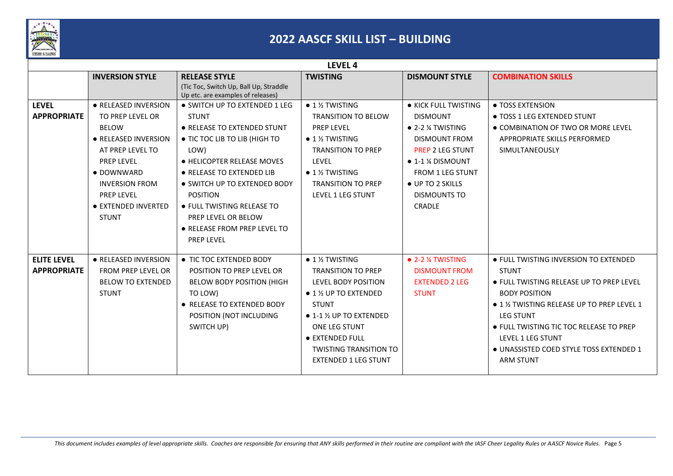

|                                          | LEVEL <sub>4</sub>                                                                                                                                                                                                           |                                                                                                                                                                                                                                                                                          |                                                                                                                                                                                                                                                                                                      |                                                                                                                                                                                                                             |                                                                                                                                                                                                                                                                                                                           |  |
|------------------------------------------|------------------------------------------------------------------------------------------------------------------------------------------------------------------------------------------------------------------------------|------------------------------------------------------------------------------------------------------------------------------------------------------------------------------------------------------------------------------------------------------------------------------------------|------------------------------------------------------------------------------------------------------------------------------------------------------------------------------------------------------------------------------------------------------------------------------------------------------|-----------------------------------------------------------------------------------------------------------------------------------------------------------------------------------------------------------------------------|---------------------------------------------------------------------------------------------------------------------------------------------------------------------------------------------------------------------------------------------------------------------------------------------------------------------------|--|
|                                          | <b>INVERSION STYLE</b>                                                                                                                                                                                                       | <b>RELEASE STYLE</b>                                                                                                                                                                                                                                                                     | <b>TWISTING</b>                                                                                                                                                                                                                                                                                      | <b>DISMOUNT STYLE</b>                                                                                                                                                                                                       | <b>COMBINATION SKILLS</b>                                                                                                                                                                                                                                                                                                 |  |
|                                          |                                                                                                                                                                                                                              | (Tic Toc, Switch Up, Ball Up, Straddle<br>Up etc. are examples of releases)                                                                                                                                                                                                              |                                                                                                                                                                                                                                                                                                      |                                                                                                                                                                                                                             |                                                                                                                                                                                                                                                                                                                           |  |
| <b>LEVEL</b><br><b>APPROPRIATE</b>       | · RELEASED INVERSION<br>TO PREP LEVEL OR<br><b>BELOW</b><br>• RELEASED INVERSION<br>AT PREP LEVEL TO<br><b>PREP LEVEL</b><br>• DOWNWARD<br><b>INVERSION FROM</b><br><b>PREP LEVEL</b><br>• EXTENDED INVERTED<br><b>STUNT</b> | • SWITCH UP TO EXTENDED 1 LEG<br><b>STUNT</b><br>• RELEASE TO EXTENDED STUNT<br>• TIC TOC LIB TO LIB (HIGH TO<br>LOW)<br>• HELICOPTER RELEASE MOVES<br>• RELEASE TO EXTENDED LIB<br>• SWITCH UP TO EXTENDED BODY<br><b>POSITION</b><br>• FULL TWISTING RELEASE TO<br>PREP LEVEL OR BELOW | $\bullet$ 1 $\frac{1}{2}$ TWISTING<br><b>TRANSITION TO BELOW</b><br>PREP LEVEL<br>$\bullet$ 1 % TWISTING<br><b>TRANSITION TO PREP</b><br>LEVEL<br>$\bullet$ 1 % TWISTING<br><b>TRANSITION TO PREP</b><br>LEVEL 1 LEG STUNT                                                                           | • KICK FULL TWISTING<br><b>DISMOUNT</b><br>$\bullet$ 2-2 % TWISTING<br><b>DISMOUNT FROM</b><br><b>PREP 2 LEG STUNT</b><br>$\bullet$ 1-1 % DISMOUNT<br><b>FROM 1 LEG STUNT</b><br>• UP TO 2 SKILLS<br>DISMOUNTS TO<br>CRADLE | • TOSS EXTENSION<br>• TOSS 1 LEG EXTENDED STUNT<br>• COMBINATION OF TWO OR MORE LEVEL<br>APPROPRIATE SKILLS PERFORMED<br>SIMULTANEOUSLY                                                                                                                                                                                   |  |
|                                          |                                                                                                                                                                                                                              | • RELEASE FROM PREP LEVEL TO<br><b>PREP LEVEL</b>                                                                                                                                                                                                                                        |                                                                                                                                                                                                                                                                                                      |                                                                                                                                                                                                                             |                                                                                                                                                                                                                                                                                                                           |  |
| <b>ELITE LEVEL</b><br><b>APPROPRIATE</b> | · RELEASED INVERSION<br><b>FROM PREP LEVEL OR</b><br><b>BELOW TO EXTENDED</b><br><b>STUNT</b>                                                                                                                                | • TIC TOC EXTENDED BODY<br>POSITION TO PREP LEVEL OR<br><b>BELOW BODY POSITION (HIGH</b><br>TO LOW)<br>• RELEASE TO EXTENDED BODY<br>POSITION (NOT INCLUDING<br>SWITCH UP)                                                                                                               | $\bullet$ 1 $\frac{1}{2}$ TWISTING<br><b>TRANSITION TO PREP</b><br>LEVEL BODY POSITION<br>$\bullet$ 1 $\frac{1}{2}$ UP TO EXTENDED<br><b>STUNT</b><br>$\bullet$ 1-1 $\frac{1}{2}$ UP TO EXTENDED<br>ONE LEG STUNT<br>• EXTENDED FULL<br><b>TWISTING TRANSITION TO</b><br><b>EXTENDED 1 LEG STUNT</b> | $\bullet$ 2-2 $\%$ TWISTING<br><b>DISMOUNT FROM</b><br><b>EXTENDED 2 LEG</b><br><b>STUNT</b>                                                                                                                                | · FULL TWISTING INVERSION TO EXTENDED<br><b>STUNT</b><br>• FULL TWISTING RELEASE UP TO PREP LEVEL<br><b>BODY POSITION</b><br>● 1 ½ TWISTING RELEASE UP TO PREP LEVEL 1<br><b>LEG STUNT</b><br>● FULL TWISTING TIC TOC RELEASE TO PREP<br>LEVEL 1 LEG STUNT<br>• UNASSISTED COED STYLE TOSS EXTENDED 1<br><b>ARM STUNT</b> |  |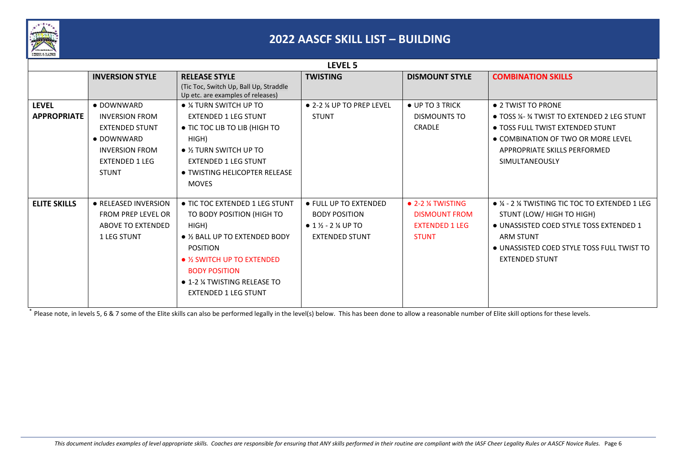

| LEVEL 5                                              |  |  |  |  |  |  |
|------------------------------------------------------|--|--|--|--|--|--|
|                                                      |  |  |  |  |  |  |
|                                                      |  |  |  |  |  |  |
|                                                      |  |  |  |  |  |  |
| • TOSS 1/4-34 TWIST TO EXTENDED 2 LEG STUNT          |  |  |  |  |  |  |
| • TOSS FULL TWIST EXTENDED STUNT                     |  |  |  |  |  |  |
| • COMBINATION OF TWO OR MORE LEVEL                   |  |  |  |  |  |  |
|                                                      |  |  |  |  |  |  |
|                                                      |  |  |  |  |  |  |
|                                                      |  |  |  |  |  |  |
|                                                      |  |  |  |  |  |  |
|                                                      |  |  |  |  |  |  |
| $\bullet$ % - 2 % TWISTING TIC TOC TO EXTENDED 1 LEG |  |  |  |  |  |  |
|                                                      |  |  |  |  |  |  |
| • UNASSISTED COED STYLE TOSS EXTENDED 1              |  |  |  |  |  |  |
|                                                      |  |  |  |  |  |  |
| • UNASSISTED COED STYLE TOSS FULL TWIST TO           |  |  |  |  |  |  |
|                                                      |  |  |  |  |  |  |
|                                                      |  |  |  |  |  |  |
|                                                      |  |  |  |  |  |  |
|                                                      |  |  |  |  |  |  |
|                                                      |  |  |  |  |  |  |

\* Please note, in levels 5, 6 & 7 some of the Elite skills can also be performed legally in the level(s) below. This has been done to allow a reasonable number of Elite skill options for these levels.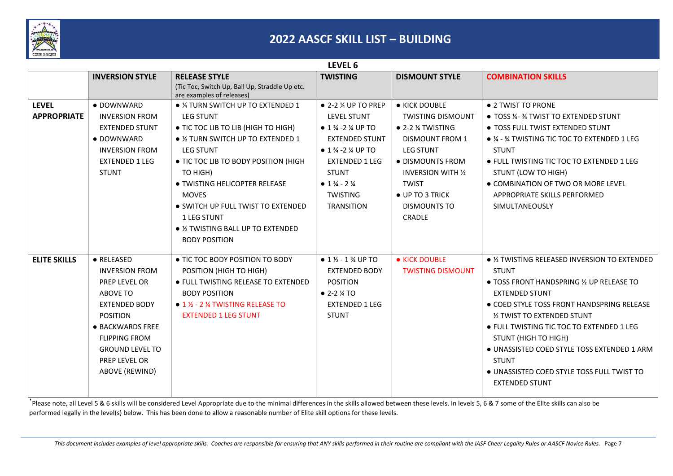

|                                    |                                                                                                                                                                                                                      |                                                                                                                                                                                                                                                                                                                                                                                      | LEVEL 6                                                                                                                                                                                                                                                                                                              |                                                                                                                                                                                                                                          |                                                                                                                                                                                                                                                                                                                                                                                                                             |
|------------------------------------|----------------------------------------------------------------------------------------------------------------------------------------------------------------------------------------------------------------------|--------------------------------------------------------------------------------------------------------------------------------------------------------------------------------------------------------------------------------------------------------------------------------------------------------------------------------------------------------------------------------------|----------------------------------------------------------------------------------------------------------------------------------------------------------------------------------------------------------------------------------------------------------------------------------------------------------------------|------------------------------------------------------------------------------------------------------------------------------------------------------------------------------------------------------------------------------------------|-----------------------------------------------------------------------------------------------------------------------------------------------------------------------------------------------------------------------------------------------------------------------------------------------------------------------------------------------------------------------------------------------------------------------------|
|                                    | <b>INVERSION STYLE</b>                                                                                                                                                                                               | <b>RELEASE STYLE</b>                                                                                                                                                                                                                                                                                                                                                                 | <b>TWISTING</b>                                                                                                                                                                                                                                                                                                      | <b>DISMOUNT STYLE</b>                                                                                                                                                                                                                    | <b>COMBINATION SKILLS</b>                                                                                                                                                                                                                                                                                                                                                                                                   |
|                                    |                                                                                                                                                                                                                      | (Tic Toc, Switch Up, Ball Up, Straddle Up etc.<br>are examples of releases)                                                                                                                                                                                                                                                                                                          |                                                                                                                                                                                                                                                                                                                      |                                                                                                                                                                                                                                          |                                                                                                                                                                                                                                                                                                                                                                                                                             |
| <b>LEVEL</b><br><b>APPROPRIATE</b> | · DOWNWARD<br><b>INVERSION FROM</b><br><b>EXTENDED STUNT</b><br>• DOWNWARD<br><b>INVERSION FROM</b><br><b>EXTENDED 1 LEG</b><br><b>STUNT</b>                                                                         | • % TURN SWITCH UP TO EXTENDED 1<br><b>LEG STUNT</b><br>• TIC TOC LIB TO LIB (HIGH TO HIGH)<br>• 1/2 TURN SWITCH UP TO EXTENDED 1<br><b>LEG STUNT</b><br>• TIC TOC LIB TO BODY POSITION (HIGH<br>TO HIGH)<br><b>• TWISTING HELICOPTER RELEASE</b><br><b>MOVES</b><br>• SWITCH UP FULL TWIST TO EXTENDED<br>1 LEG STUNT<br>• 1/2 TWISTING BALL UP TO EXTENDED<br><b>BODY POSITION</b> | $\bullet$ 2-2 $\%$ UP TO PREP<br><b>LEVEL STUNT</b><br>$\bullet$ 1 $\frac{3}{4}$ -2 $\frac{1}{4}$ UP TO<br><b>EXTENDED STUNT</b><br>$\bullet$ 1 $\frac{3}{4}$ -2 $\frac{1}{4}$ UP TO<br><b>EXTENDED 1 LEG</b><br><b>STUNT</b><br>$\bullet$ 1 $\frac{3}{4}$ - 2 $\frac{1}{4}$<br><b>TWISTING</b><br><b>TRANSITION</b> | • KICK DOUBLE<br><b>TWISTING DISMOUNT</b><br>$\bullet$ 2-2 % TWISTING<br><b>DISMOUNT FROM 1</b><br><b>LEG STUNT</b><br>• DISMOUNTS FROM<br><b>INVERSION WITH 1/2</b><br><b>TWIST</b><br>• UP TO 3 TRICK<br><b>DISMOUNTS TO</b><br>CRADLE | ● 2 TWIST TO PRONE<br>• TOSS 1/4-34 TWIST TO EXTENDED STUNT<br>• TOSS FULL TWIST EXTENDED STUNT<br>• ¼ - ¾ TWISTING TIC TOC TO EXTENDED 1 LEG<br><b>STUNT</b><br>• FULL TWISTING TIC TOC TO EXTENDED 1 LEG<br>STUNT (LOW TO HIGH)<br>• COMBINATION OF TWO OR MORE LEVEL<br>APPROPRIATE SKILLS PERFORMED<br>SIMULTANEOUSLY                                                                                                   |
| <b>ELITE SKILLS</b>                | • RELEASED<br><b>INVERSION FROM</b><br>PREP LEVEL OR<br>ABOVE TO<br><b>EXTENDED BODY</b><br><b>POSITION</b><br>• BACKWARDS FREE<br><b>FLIPPING FROM</b><br><b>GROUND LEVEL TO</b><br>PREP LEVEL OR<br>ABOVE (REWIND) | • TIC TOC BODY POSITION TO BODY<br>POSITION (HIGH TO HIGH)<br>• FULL TWISTING RELEASE TO EXTENDED<br><b>BODY POSITION</b><br>$\bullet$ 1 $\%$ - 2 $\%$ TWISTING RELEASE TO<br><b>EXTENDED 1 LEG STUNT</b>                                                                                                                                                                            | $\bullet$ 1 $\frac{1}{2}$ - 1 $\frac{3}{4}$ UP TO<br><b>EXTENDED BODY</b><br><b>POSITION</b><br>$\bullet$ 2-2 $\frac{1}{4}$ TO<br><b>EXTENDED 1 LEG</b><br><b>STUNT</b>                                                                                                                                              | • KICK DOUBLE<br><b>TWISTING DISMOUNT</b>                                                                                                                                                                                                | • 1/2 TWISTING RELEASED INVERSION TO EXTENDED<br><b>STUNT</b><br>• TOSS FRONT HANDSPRING 1/2 UP RELEASE TO<br><b>EXTENDED STUNT</b><br>• COED STYLE TOSS FRONT HANDSPRING RELEASE<br>1/2 TWIST TO EXTENDED STUNT<br>• FULL TWISTING TIC TOC TO EXTENDED 1 LEG<br>STUNT (HIGH TO HIGH)<br>• UNASSISTED COED STYLE TOSS EXTENDED 1 ARM<br><b>STUNT</b><br>• UNASSISTED COED STYLE TOSS FULL TWIST TO<br><b>EXTENDED STUNT</b> |

\* Please note, all Level 5 & 6 skills will be considered Level Appropriate due to the minimal differences in the skills allowed between these levels. In levels 5, 6 & 7 some of the Elite skills can also be performed legally in the level(s) below. This has been done to allow a reasonable number of Elite skill options for these levels.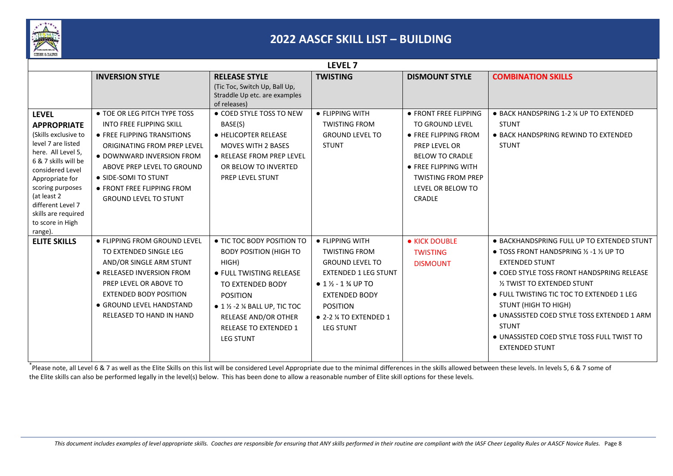

|                                                                                                                                                                                                                                                                                     |                                                                                                                                                                                                                                                                                |                                                                                                                                                                                                                                                                                   | LEVEL <sub>7</sub>                                                                                                                                                                                                                             |                                                                                                                                                                                                               |                                                                                                                                                                                                                                                                                                                                                                                                                                     |
|-------------------------------------------------------------------------------------------------------------------------------------------------------------------------------------------------------------------------------------------------------------------------------------|--------------------------------------------------------------------------------------------------------------------------------------------------------------------------------------------------------------------------------------------------------------------------------|-----------------------------------------------------------------------------------------------------------------------------------------------------------------------------------------------------------------------------------------------------------------------------------|------------------------------------------------------------------------------------------------------------------------------------------------------------------------------------------------------------------------------------------------|---------------------------------------------------------------------------------------------------------------------------------------------------------------------------------------------------------------|-------------------------------------------------------------------------------------------------------------------------------------------------------------------------------------------------------------------------------------------------------------------------------------------------------------------------------------------------------------------------------------------------------------------------------------|
|                                                                                                                                                                                                                                                                                     | <b>INVERSION STYLE</b>                                                                                                                                                                                                                                                         | <b>RELEASE STYLE</b><br>(Tic Toc, Switch Up, Ball Up,<br>Straddle Up etc. are examples<br>of releases)                                                                                                                                                                            | <b>TWISTING</b>                                                                                                                                                                                                                                | <b>DISMOUNT STYLE</b>                                                                                                                                                                                         | <b>COMBINATION SKILLS</b>                                                                                                                                                                                                                                                                                                                                                                                                           |
| <b>LEVEL</b><br><b>APPROPRIATE</b><br>(Skills exclusive to<br>level 7 are listed<br>here. All Level 5,<br>6 & 7 skills will be<br>considered Level<br>Appropriate for<br>scoring purposes<br>(at least 2<br>different Level 7<br>skills are required<br>to score in High<br>range). | • TOE OR LEG PITCH TYPE TOSS<br><b>INTO FREE FLIPPING SKILL</b><br>• FREE FLIPPING TRANSITIONS<br>ORIGINATING FROM PREP LEVEL<br>· DOWNWARD INVERSION FROM<br>ABOVE PREP LEVEL TO GROUND<br>• SIDE-SOMI TO STUNT<br>• FRONT FREE FLIPPING FROM<br><b>GROUND LEVEL TO STUNT</b> | • COED STYLE TOSS TO NEW<br>BASE(S)<br>● HELICOPTER RELEASE<br><b>MOVES WITH 2 BASES</b><br>• RELEASE FROM PREP LEVEL<br>OR BELOW TO INVERTED<br>PREP LEVEL STUNT                                                                                                                 | • FLIPPING WITH<br><b>TWISTING FROM</b><br><b>GROUND LEVEL TO</b><br><b>STUNT</b>                                                                                                                                                              | ● FRONT FREE FLIPPING<br><b>TO GROUND LEVEL</b><br>• FREE FLIPPING FROM<br><b>PREP LEVEL OR</b><br><b>BELOW TO CRADLE</b><br>• FREE FLIPPING WITH<br><b>TWISTING FROM PREP</b><br>LEVEL OR BELOW TO<br>CRADLE | • BACK HANDSPRING 1-2 % UP TO EXTENDED<br><b>STUNT</b><br>• BACK HANDSPRING REWIND TO EXTENDED<br><b>STUNT</b>                                                                                                                                                                                                                                                                                                                      |
| <b>ELITE SKILLS</b>                                                                                                                                                                                                                                                                 | • FLIPPING FROM GROUND LEVEL<br>TO EXTENDED SINGLE LEG<br>AND/OR SINGLE ARM STUNT<br>• RELEASED INVERSION FROM<br>PREP LEVEL OR ABOVE TO<br><b>EXTENDED BODY POSITION</b><br>• GROUND LEVEL HANDSTAND<br>RELEASED TO HAND IN HAND                                              | • TIC TOC BODY POSITION TO<br><b>BODY POSITION (HIGH TO</b><br>HIGH)<br>• FULL TWISTING RELEASE<br>TO EXTENDED BODY<br><b>POSITION</b><br>$\bullet$ 1 $\frac{1}{2}$ -2 $\frac{1}{4}$ BALL UP, TIC TOC<br>RELEASE AND/OR OTHER<br><b>RELEASE TO EXTENDED 1</b><br><b>LEG STUNT</b> | • FLIPPING WITH<br><b>TWISTING FROM</b><br><b>GROUND LEVEL TO</b><br><b>EXTENDED 1 LEG STUNT</b><br>• $1\frac{1}{2}$ - $1\frac{3}{4}$ UP TO<br><b>EXTENDED BODY</b><br><b>POSITION</b><br>$\bullet$ 2-2 $\%$ TO EXTENDED 1<br><b>LEG STUNT</b> | • KICK DOUBLE<br><b>TWISTING</b><br><b>DISMOUNT</b>                                                                                                                                                           | • BACKHANDSPRING FULL UP TO EXTENDED STUNT<br>$\bullet$ TOSS FRONT HANDSPRING $\frac{1}{2}$ -1 $\frac{1}{2}$ UP TO<br><b>EXTENDED STUNT</b><br>• COED STYLE TOSS FRONT HANDSPRING RELEASE<br>1/2 TWIST TO EXTENDED STUNT<br>● FULL TWISTING TIC TOC TO EXTENDED 1 LEG<br>STUNT (HIGH TO HIGH)<br>· UNASSISTED COED STYLE TOSS EXTENDED 1 ARM<br><b>STUNT</b><br>• UNASSISTED COED STYLE TOSS FULL TWIST TO<br><b>EXTENDED STUNT</b> |

\*Please note, all Level 6 & 7 as well as the Elite Skills on this list will be considered Level Appropriate due to the minimal differences in the skills allowed between these levels. In levels 5, 6 & 7 some of the Elite skills can also be performed legally in the level(s) below. This has been done to allow a reasonable number of Elite skill options for these levels.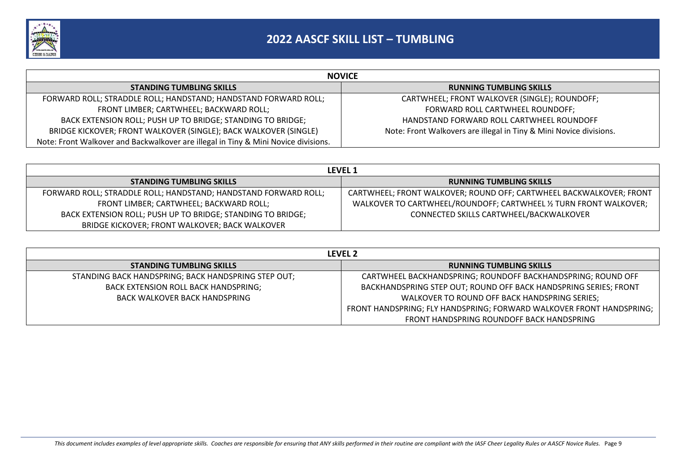

| <b>NOVICE</b>                                                                      |                                                                    |  |  |  |  |
|------------------------------------------------------------------------------------|--------------------------------------------------------------------|--|--|--|--|
| <b>STANDING TUMBLING SKILLS</b>                                                    | <b>RUNNING TUMBLING SKILLS</b>                                     |  |  |  |  |
| FORWARD ROLL; STRADDLE ROLL; HANDSTAND; HANDSTAND FORWARD ROLL;                    | CARTWHEEL; FRONT WALKOVER (SINGLE); ROUNDOFF;                      |  |  |  |  |
| FRONT LIMBER; CARTWHEEL; BACKWARD ROLL;                                            | FORWARD ROLL CARTWHEEL ROUNDOFF;                                   |  |  |  |  |
| BACK EXTENSION ROLL; PUSH UP TO BRIDGE; STANDING TO BRIDGE;                        | HANDSTAND FORWARD ROLL CARTWHEEL ROUNDOFF                          |  |  |  |  |
| BRIDGE KICKOVER; FRONT WALKOVER (SINGLE); BACK WALKOVER (SINGLE)                   | Note: Front Walkovers are illegal in Tiny & Mini Novice divisions. |  |  |  |  |
| Note: Front Walkover and Backwalkover are illegal in Tiny & Mini Novice divisions. |                                                                    |  |  |  |  |

| <b>LEVEL 1</b>                                                  |                                                                     |  |  |  |  |
|-----------------------------------------------------------------|---------------------------------------------------------------------|--|--|--|--|
| <b>STANDING TUMBLING SKILLS</b>                                 | <b>RUNNING TUMBLING SKILLS</b>                                      |  |  |  |  |
| FORWARD ROLL; STRADDLE ROLL; HANDSTAND; HANDSTAND FORWARD ROLL; | CARTWHEEL; FRONT WALKOVER; ROUND OFF; CARTWHEEL BACKWALKOVER; FRONT |  |  |  |  |
| FRONT LIMBER; CARTWHEEL; BACKWARD ROLL;                         | WALKOVER TO CARTWHEEL/ROUNDOFF; CARTWHEEL 1/2 TURN FRONT WALKOVER;  |  |  |  |  |
| BACK EXTENSION ROLL; PUSH UP TO BRIDGE; STANDING TO BRIDGE;     | CONNECTED SKILLS CARTWHEEL/BACKWALKOVER                             |  |  |  |  |
| BRIDGE KICKOVER; FRONT WALKOVER; BACK WALKOVER                  |                                                                     |  |  |  |  |

| <b>LEVEL 2</b>                                      |                                                                      |  |  |  |
|-----------------------------------------------------|----------------------------------------------------------------------|--|--|--|
| <b>STANDING TUMBLING SKILLS</b>                     | <b>RUNNING TUMBLING SKILLS</b>                                       |  |  |  |
| STANDING BACK HANDSPRING; BACK HANDSPRING STEP OUT; | CARTWHEEL BACKHANDSPRING; ROUNDOFF BACKHANDSPRING; ROUND OFF         |  |  |  |
| BACK EXTENSION ROLL BACK HANDSPRING;                | BACKHANDSPRING STEP OUT; ROUND OFF BACK HANDSPRING SERIES; FRONT     |  |  |  |
| BACK WALKOVER BACK HANDSPRING                       | WALKOVER TO ROUND OFF BACK HANDSPRING SERIES;                        |  |  |  |
|                                                     | FRONT HANDSPRING; FLY HANDSPRING; FORWARD WALKOVER FRONT HANDSPRING; |  |  |  |
|                                                     | FRONT HANDSPRING ROUNDOFF BACK HANDSPRING                            |  |  |  |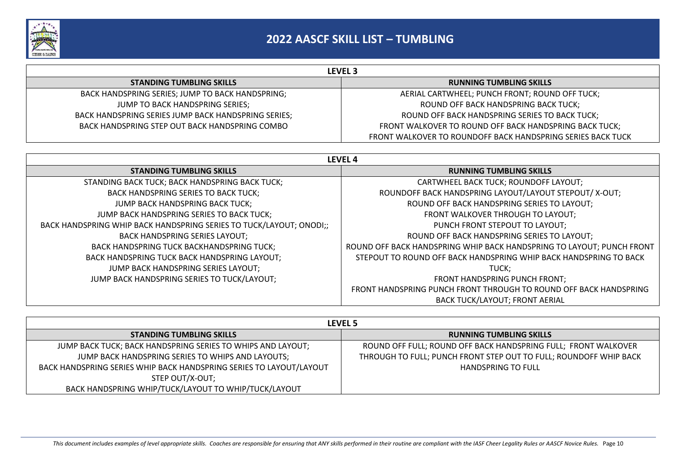

| <b>LEVEL 3</b>                                      |                                                             |  |  |  |  |
|-----------------------------------------------------|-------------------------------------------------------------|--|--|--|--|
| <b>STANDING TUMBLING SKILLS</b>                     | <b>RUNNING TUMBLING SKILLS</b>                              |  |  |  |  |
| BACK HANDSPRING SERIES; JUMP TO BACK HANDSPRING;    | AERIAL CARTWHEEL; PUNCH FRONT; ROUND OFF TUCK;              |  |  |  |  |
| JUMP TO BACK HANDSPRING SERIES;                     | ROUND OFF BACK HANDSPRING BACK TUCK;                        |  |  |  |  |
| BACK HANDSPRING SERIES JUMP BACK HANDSPRING SERIES; | ROUND OFF BACK HANDSPRING SERIES TO BACK TUCK;              |  |  |  |  |
| BACK HANDSPRING STEP OUT BACK HANDSPRING COMBO      | FRONT WALKOVER TO ROUND OFF BACK HANDSPRING BACK TUCK;      |  |  |  |  |
|                                                     | FRONT WALKOVER TO ROUNDOFF BACK HANDSPRING SERIES BACK TUCK |  |  |  |  |

| LEVEL <sub>4</sub>                                                  |                                                                       |
|---------------------------------------------------------------------|-----------------------------------------------------------------------|
| <b>STANDING TUMBLING SKILLS</b>                                     | <b>RUNNING TUMBLING SKILLS</b>                                        |
| STANDING BACK TUCK; BACK HANDSPRING BACK TUCK;                      | CARTWHEEL BACK TUCK; ROUNDOFF LAYOUT;                                 |
| <b>BACK HANDSPRING SERIES TO BACK TUCK;</b>                         | ROUNDOFF BACK HANDSPRING LAYOUT/LAYOUT STEPOUT/X-OUT;                 |
| JUMP BACK HANDSPRING BACK TUCK;                                     | ROUND OFF BACK HANDSPRING SERIES TO LAYOUT;                           |
| JUMP BACK HANDSPRING SERIES TO BACK TUCK;                           | FRONT WALKOVER THROUGH TO LAYOUT;                                     |
| BACK HANDSPRING WHIP BACK HANDSPRING SERIES TO TUCK/LAYOUT; ONODI;; | PUNCH FRONT STEPOUT TO LAYOUT;                                        |
| <b>BACK HANDSPRING SERIES LAYOUT;</b>                               | ROUND OFF BACK HANDSPRING SERIES TO LAYOUT;                           |
| BACK HANDSPRING TUCK BACKHANDSPRING TUCK;                           | ROUND OFF BACK HANDSPRING WHIP BACK HANDSPRING TO LAYOUT; PUNCH FRONT |
| BACK HANDSPRING TUCK BACK HANDSPRING LAYOUT;                        | STEPOUT TO ROUND OFF BACK HANDSPRING WHIP BACK HANDSPRING TO BACK     |
| JUMP BACK HANDSPRING SERIES LAYOUT;                                 | TUCK:                                                                 |
| JUMP BACK HANDSPRING SERIES TO TUCK/LAYOUT;                         | FRONT HANDSPRING PUNCH FRONT;                                         |
|                                                                     | FRONT HANDSPRING PUNCH FRONT THROUGH TO ROUND OFF BACK HANDSPRING     |
|                                                                     | <b>BACK TUCK/LAYOUT; FRONT AERIAL</b>                                 |

| <b>LEVEL 5</b>                                                      |                                                                   |
|---------------------------------------------------------------------|-------------------------------------------------------------------|
| <b>STANDING TUMBLING SKILLS</b>                                     | <b>RUNNING TUMBLING SKILLS</b>                                    |
| JUMP BACK TUCK; BACK HANDSPRING SERIES TO WHIPS AND LAYOUT;         | ROUND OFF FULL; ROUND OFF BACK HANDSPRING FULL; FRONT WALKOVER    |
| JUMP BACK HANDSPRING SERIES TO WHIPS AND LAYOUTS;                   | THROUGH TO FULL; PUNCH FRONT STEP OUT TO FULL; ROUNDOFF WHIP BACK |
| BACK HANDSPRING SERIES WHIP BACK HANDSPRING SERIES TO LAYOUT/LAYOUT | HANDSPRING TO FULL                                                |
| STEP OUT/X-OUT;                                                     |                                                                   |
| BACK HANDSPRING WHIP/TUCK/LAYOUT TO WHIP/TUCK/LAYOUT                |                                                                   |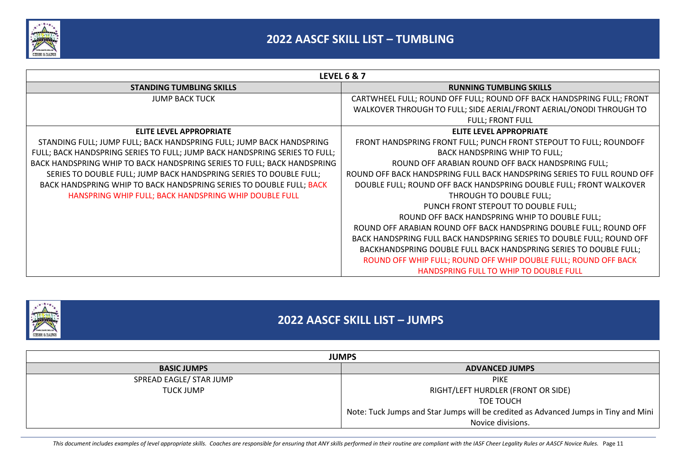

| <b>LEVEL 6 &amp; 7</b>                                                     |                                                                         |
|----------------------------------------------------------------------------|-------------------------------------------------------------------------|
| <b>STANDING TUMBLING SKILLS</b>                                            | <b>RUNNING TUMBLING SKILLS</b>                                          |
| <b>JUMP BACK TUCK</b>                                                      | CARTWHEEL FULL; ROUND OFF FULL; ROUND OFF BACK HANDSPRING FULL; FRONT   |
|                                                                            | WALKOVER THROUGH TO FULL; SIDE AERIAL/FRONT AERIAL/ONODI THROUGH TO     |
|                                                                            | <b>FULL; FRONT FULL</b>                                                 |
| <b>ELITE LEVEL APPROPRIATE</b>                                             | <b>ELITE LEVEL APPROPRIATE</b>                                          |
| STANDING FULL; JUMP FULL; BACK HANDSPRING FULL; JUMP BACK HANDSPRING       | FRONT HANDSPRING FRONT FULL; PUNCH FRONT STEPOUT TO FULL; ROUNDOFF      |
| FULL; BACK HANDSPRING SERIES TO FULL; JUMP BACK HANDSPRING SERIES TO FULL; | BACK HANDSPRING WHIP TO FULL;                                           |
| BACK HANDSPRING WHIP TO BACK HANDSPRING SERIES TO FULL; BACK HANDSPRING    | ROUND OFF ARABIAN ROUND OFF BACK HANDSPRING FULL;                       |
| SERIES TO DOUBLE FULL; JUMP BACK HANDSPRING SERIES TO DOUBLE FULL;         | ROUND OFF BACK HANDSPRING FULL BACK HANDSPRING SERIES TO FULL ROUND OFF |
| BACK HANDSPRING WHIP TO BACK HANDSPRING SERIES TO DOUBLE FULL; BACK        | DOUBLE FULL; ROUND OFF BACK HANDSPRING DOUBLE FULL; FRONT WALKOVER      |
| HANSPRING WHIP FULL; BACK HANDSPRING WHIP DOUBLE FULL                      | THROUGH TO DOUBLE FULL;                                                 |
|                                                                            | PUNCH FRONT STEPOUT TO DOUBLE FULL;                                     |
|                                                                            | ROUND OFF BACK HANDSPRING WHIP TO DOUBLE FULL;                          |
|                                                                            | ROUND OFF ARABIAN ROUND OFF BACK HANDSPRING DOUBLE FULL; ROUND OFF      |
|                                                                            | BACK HANDSPRING FULL BACK HANDSPRING SERIES TO DOUBLE FULL; ROUND OFF   |
|                                                                            | BACKHANDSPRING DOUBLE FULL BACK HANDSPRING SERIES TO DOUBLE FULL;       |
|                                                                            | ROUND OFF WHIP FULL; ROUND OFF WHIP DOUBLE FULL; ROUND OFF BACK         |
|                                                                            | <b>HANDSPRING FULL TO WHIP TO DOUBLE FULL</b>                           |



### **2022 AASCF SKILL LIST – JUMPS**

| <b>JUMPS</b>            |                                                                                     |
|-------------------------|-------------------------------------------------------------------------------------|
| <b>BASIC JUMPS</b>      | <b>ADVANCED JUMPS</b>                                                               |
| SPREAD EAGLE/ STAR JUMP | <b>PIKE</b>                                                                         |
| <b>TUCK JUMP</b>        | RIGHT/LEFT HURDLER (FRONT OR SIDE)                                                  |
|                         | TOE TOUCH                                                                           |
|                         | Note: Tuck Jumps and Star Jumps will be credited as Advanced Jumps in Tiny and Mini |
|                         | Novice divisions.                                                                   |

This document includes examples of level appropriate skills. Coaches are responsible for ensuring that ANY skills performed in their routine are compliant with the IASF Cheer Legality Rules or AASCF Novice Rules. Page 11